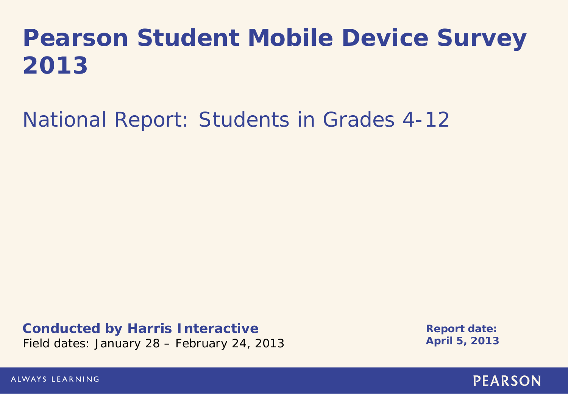# **Pearson Student Mobile Device Survey 2013**

National Report: Students in Grades 4-12

**Conducted by Harris Interactive** Field dates: January 28 – February 24, 2013

**Report date: April 5, 2013**

ALWAYS LEARNING

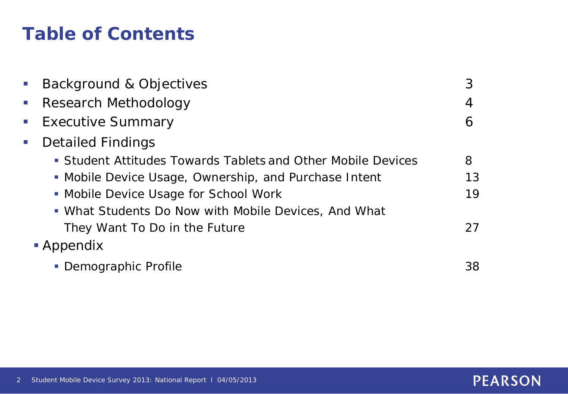# **Table of Contents**

| $\mathcal{L}_{\mathcal{A}}$ | Background & Objectives                                      | 3  |
|-----------------------------|--------------------------------------------------------------|----|
| $\blacksquare$              | Research Methodology                                         | 4  |
| $\mathcal{L}_{\mathcal{A}}$ | <b>Executive Summary</b>                                     | 6  |
| $\mathcal{L}_{\mathcal{A}}$ | <b>Detailed Findings</b>                                     |    |
|                             | • Student Attitudes Towards Tablets and Other Mobile Devices | 8  |
|                             | • Mobile Device Usage, Ownership, and Purchase Intent        | 13 |
|                             | • Mobile Device Usage for School Work                        | 19 |
|                             | • What Students Do Now with Mobile Devices, And What         |    |
|                             | They Want To Do in the Future                                | 27 |
|                             | • Appendix                                                   |    |
|                             | • Demographic Profile                                        | 38 |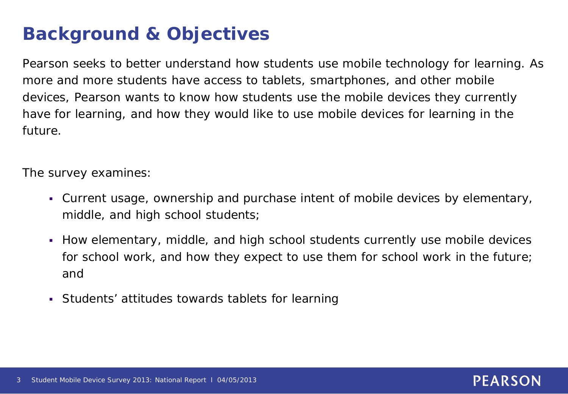# **Background & Objectives**

Pearson seeks to better understand how students use mobile technology for learning. As more and more students have access to tablets, smartphones, and other mobile devices, Pearson wants to know how students use the mobile devices they currently have for learning, and how they would like to use mobile devices for learning in the future.

The survey examines:

- Current usage, ownership and purchase intent of mobile devices by elementary, middle, and high school students;
- How elementary, middle, and high school students currently use mobile devices for school work, and how they expect to use them for school work in the future; and
- Students' attitudes towards tablets for learning

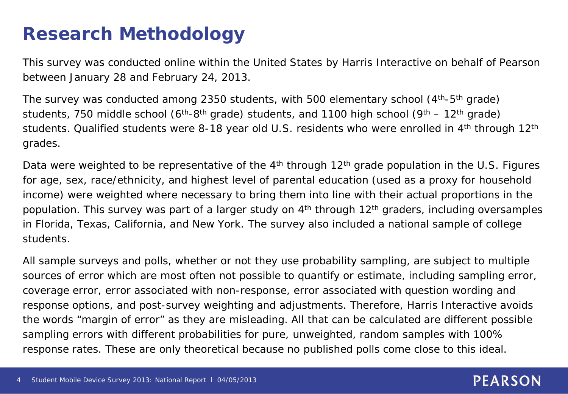# **Research Methodology**

This survey was conducted online within the United States by Harris Interactive on behalf of Pearson between January 28 and February 24, 2013.

The survey was conducted among 2350 students, with 500 elementary school  $(4<sup>th</sup>-5<sup>th</sup>$  grade) students, 750 middle school ( $6<sup>th</sup>-8<sup>th</sup>$  grade) students, and 1100 high school ( $9<sup>th</sup> - 12<sup>th</sup>$  grade) students. Qualified students were 8-18 year old U.S. residents who were enrolled in 4<sup>th</sup> through 12<sup>th</sup> grades.

Data were weighted to be representative of the  $4<sup>th</sup>$  through 12<sup>th</sup> grade population in the U.S. Figures for age, sex, race/ethnicity, and highest level of parental education (used as a proxy for household income) were weighted where necessary to bring them into line with their actual proportions in the population. This survey was part of a larger study on 4<sup>th</sup> through 12<sup>th</sup> graders, including oversamples in Florida, Texas, California, and New York. The survey also included a national sample of college students.

All sample surveys and polls, whether or not they use probability sampling, are subject to multiple sources of error which are most often not possible to quantify or estimate, including sampling error, coverage error, error associated with non-response, error associated with question wording and response options, and post-survey weighting and adjustments. Therefore, Harris Interactive avoids the words "margin of error" as they are misleading. All that can be calculated are different possible sampling errors with different probabilities for pure, unweighted, random samples with 100% response rates. These are only theoretical because no published polls come close to this ideal.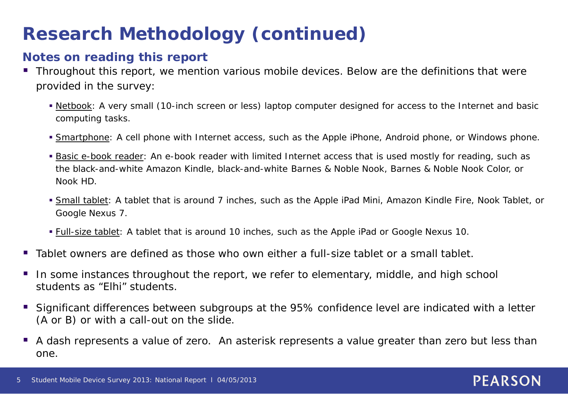# **Research Methodology (continued)**

### **Notes on reading this report**

- Throughout this report, we mention various mobile devices. Below are the definitions that were provided in the survey:
	- Netbook: A very small (10-inch screen or less) laptop computer designed for access to the Internet and basic computing tasks.
	- **Smartphone:** A cell phone with Internet access, such as the Apple iPhone, Android phone, or Windows phone.
	- **Basic e-book reader:** An e-book reader with limited Internet access that is used mostly for reading, such as the black-and-white Amazon Kindle, black-and-white Barnes & Noble Nook, Barnes & Noble Nook Color, or Nook HD.
	- Small tablet: A tablet that is around 7 inches, such as the Apple iPad Mini, Amazon Kindle Fire, Nook Tablet, or Google Nexus 7.
	- **Full-size tablet:** A tablet that is around 10 inches, such as the Apple iPad or Google Nexus 10.
- Tablet owners are defined as those who own either a full-size tablet or a small tablet.
- In some instances throughout the report, we refer to elementary, middle, and high school students as "Elhi" students.
- Significant differences between subgroups at the 95% confidence level are indicated with a letter (A or B) or with a call-out on the slide.
- A dash represents a value of zero. An asterisk represents a value greater than zero but less than one.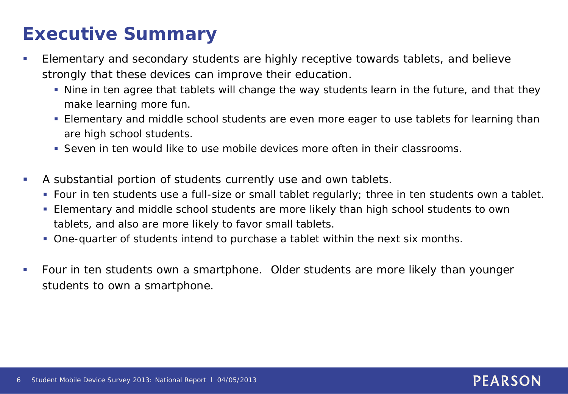# **Executive Summary**

- **Elementary and secondary students are highly receptive towards tablets, and believe** strongly that these devices can improve their education.
	- Nine in ten agree that tablets will change the way students learn in the future, and that they make learning more fun.
	- Elementary and middle school students are even more eager to use tablets for learning than are high school students.
	- Seven in ten would like to use mobile devices more often in their classrooms.
- A substantial portion of students currently use and own tablets.
	- Four in ten students use a full-size or small tablet regularly; three in ten students own a tablet.
	- Elementary and middle school students are more likely than high school students to own tablets, and also are more likely to favor small tablets.
	- One-quarter of students intend to purchase a tablet within the next six months.
- Four in ten students own a smartphone. Older students are more likely than younger students to own a smartphone.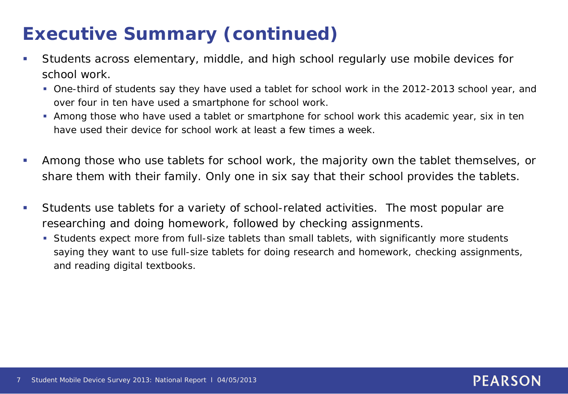# **Executive Summary (continued)**

- Students across elementary, middle, and high school regularly use mobile devices for school work.
	- One-third of students say they have used a tablet for school work in the 2012-2013 school year, and over four in ten have used a smartphone for school work.
	- Among those who have used a tablet or smartphone for school work this academic year, six in ten have used their device for school work at least a few times a week.
- Among those who use tablets for school work, the majority own the tablet themselves, or share them with their family. Only one in six say that their school provides the tablets.
- Students use tablets for a variety of school-related activities. The most popular are researching and doing homework, followed by checking assignments.
	- Students expect more from full-size tablets than small tablets, with significantly more students saying they want to use full-size tablets for doing research and homework, checking assignments, and reading digital textbooks.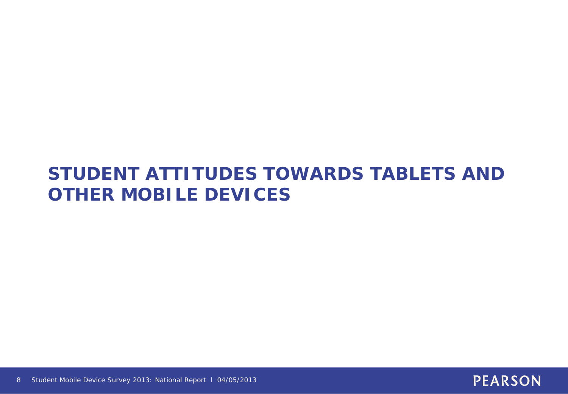# **STUDENT ATTITUDES TOWARDS TABLETS AND OTHER MOBILE DEVICES**

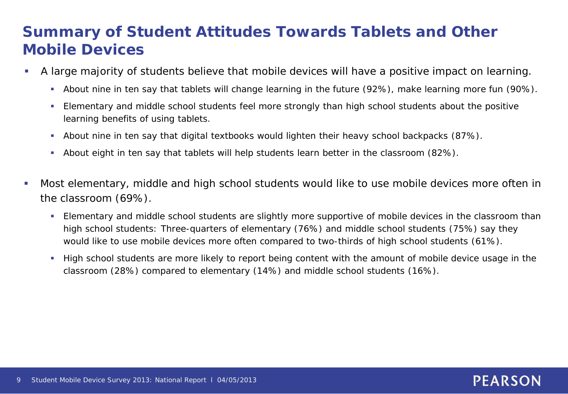# **Summary of Student Attitudes Towards Tablets and Other Mobile Devices**

- A large majority of students believe that mobile devices will have a positive impact on learning.
	- About nine in ten say that tablets will change learning in the future (92%), make learning more fun (90%).
	- Elementary and middle school students feel more strongly than high school students about the positive learning benefits of using tablets.
	- About nine in ten say that digital textbooks would lighten their heavy school backpacks (87%).
	- About eight in ten say that tablets will help students learn better in the classroom (82%).
- Most elementary, middle and high school students would like to use mobile devices more often in the classroom (69%).
	- Elementary and middle school students are slightly more supportive of mobile devices in the classroom than high school students: Three-quarters of elementary (76%) and middle school students (75%) say they would like to use mobile devices more often compared to two-thirds of high school students (61%).
	- High school students are more likely to report being content with the amount of mobile device usage in the classroom (28%) compared to elementary (14%) and middle school students (16%).

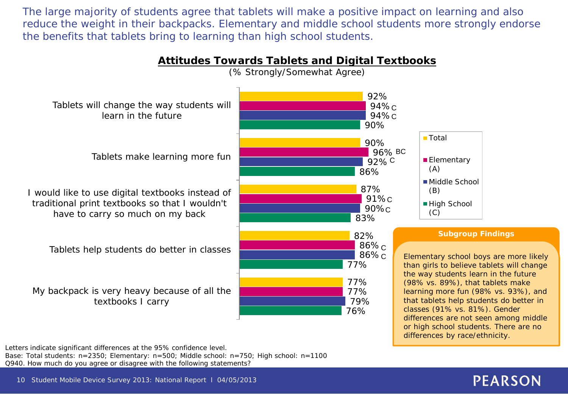The large majority of students agree that tablets will make a positive impact on learning and also reduce the weight in their backpacks. Elementary and middle school students more strongly endorse the benefits that tablets bring to learning than high school students.



**Attitudes Towards Tablets and Digital Textbooks** 

Letters indicate significant differences at the 95% confidence level. Base: Total students: n=2350; Elementary: n=500; Middle school: n=750; High school: n=1100 Q940. How much do you agree or disagree with the following statements?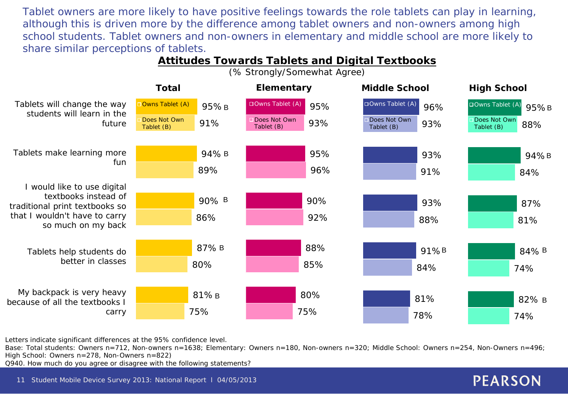Tablet owners are more likely to have positive feelings towards the role tablets can play in learning, although this is driven more by the difference among tablet owners and non-owners among high school students. Tablet owners and non-owners in elementary and middle school are more likely to share similar perceptions of tablets.

#### Tablets will change the way students will learn in the future Tablets make learning more fun I would like to use digital textbooks instead of traditional print textbooks so that I wouldn't have to carry so much on my back Tablets help students do better in classes My backpack is very heavy because of all the textbooks I carry 75% 80% 86% 89% 91% 81% B 87% B 90% B 94% B **Owns Tablet (A)** Does Not Own Tablet (B) 75% 85% 92% 96% 93% 80% 88% 90% 95% DOwns Tablet (A) 95% Does Not Own Tablet (B) **Total Elementary Middle School High School** 78% 84% 88% 91% 93% 81% 91% B 93% 93% DOwns Tablet (A) 96% Does Not Own Tablet (B) 95%B 95%B B 94% B 84% B 82% 74% 74% 81% 84% 88% 87% Owns Tablet  $(A)$ Does Not Own Tablet (B)

**Attitudes Towards Tablets and Digital Textbooks**  (% Strongly/Somewhat Agree)

Letters indicate significant differences at the 95% confidence level.

Base: Total students: Owners n=712, Non-owners n=1638; Elementary: Owners n=180, Non-owners n=320; Middle School: Owners n=254, Non-Owners n=496; High School: Owners n=278, Non-Owners n=822)

Q940. How much do you agree or disagree with the following statements?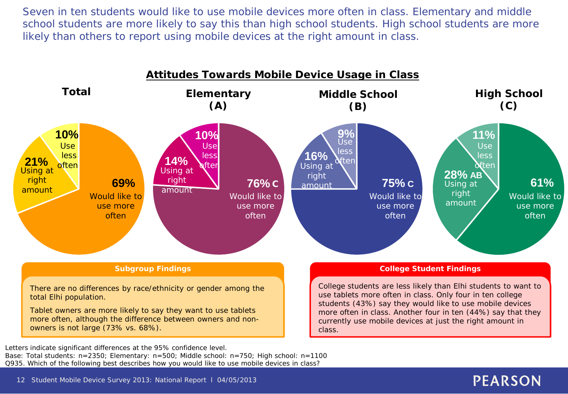Seven in ten students would like to use mobile devices more often in class. Elementary and middle school students are more likely to say this than high school students. High school students are more likely than others to report using mobile devices at the right amount in class.



Letters indicate significant differences at the 95% confidence level.

Base: Total students: n=2350; Elementary: n=500; Middle school: n=750; High school: n=1100 Q935. Which of the following best describes how you would like to use mobile devices in class?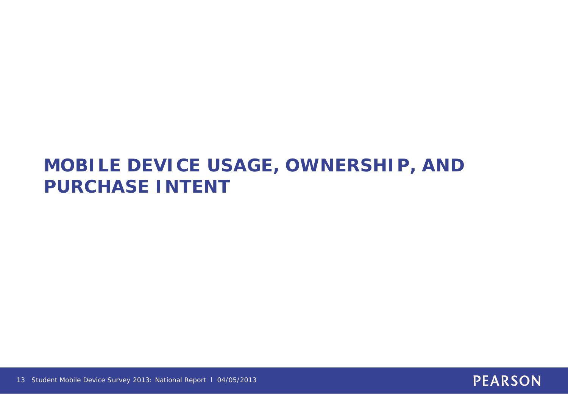# **MOBILE DEVICE USAGE, OWNERSHIP, AND PURCHASE INTENT**



13 Student Mobile Device Survey 2013: National Report l 04/05/2013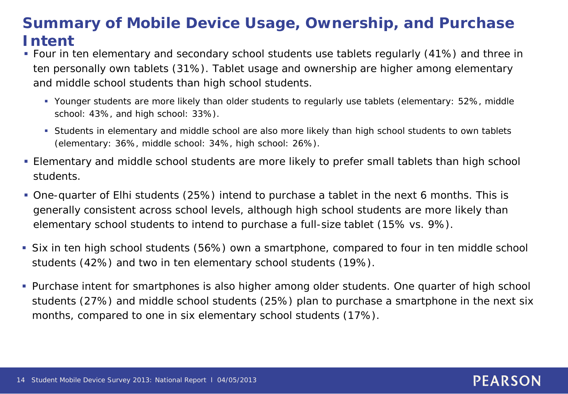# **Summary of Mobile Device Usage, Ownership, and Purchase Intent**

- Four in ten elementary and secondary school students use tablets regularly (41%) and three in ten personally own tablets (31%). Tablet usage and ownership are higher among elementary and middle school students than high school students.
	- Younger students are more likely than older students to regularly use tablets (elementary: 52%, middle school: 43%, and high school: 33%).
	- Students in elementary and middle school are also more likely than high school students to own tablets (elementary: 36%, middle school: 34%, high school: 26%).
- Elementary and middle school students are more likely to prefer small tablets than high school students.
- One-quarter of Elhi students (25%) intend to purchase a tablet in the next 6 months. This is generally consistent across school levels, although high school students are more likely than elementary school students to intend to purchase a full-size tablet (15% vs. 9%).
- Six in ten high school students (56%) own a smartphone, compared to four in ten middle school students (42%) and two in ten elementary school students (19%).
- **Purchase intent for smartphones is also higher among older students. One quarter of high school** students (27%) and middle school students (25%) plan to purchase a smartphone in the next six months, compared to one in six elementary school students (17%).

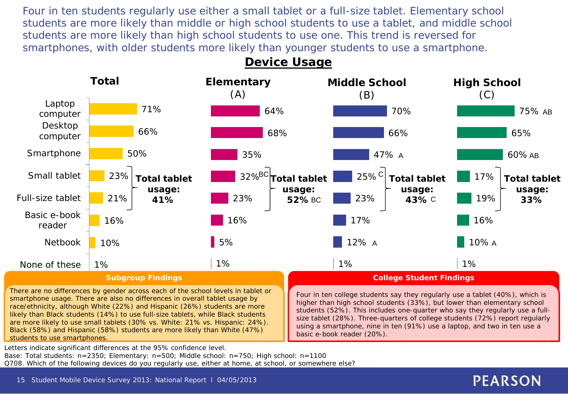Four in ten students regularly use either a small tablet or a full-size tablet. Elementary school students are more likely than middle or high school students to use a tablet, and middle school students are more likely than high school students to use one. This trend is reversed for smartphones, with older students more likely than younger students to use a smartphone.

#### 1% 12% 17% 23%  $25\%$ <sup>C</sup> 47% 66% 70% **Middle School** (B) **High School** (C) 1% A 10% A 16% 19% 17% A 60% AB 65% 75% AB **Total tablet usage: BC** 23% **43% Total tablet usage: 33% Elementary** (A) 1% 5% 16% 23% 32% BC 35% 68% 64% **Total tablet usage: 52% College Student Findings** Four in ten college students say they regularly use a tablet (40%), which is **Total** 1% 10% 16% 21% 23% 50% 66% 71% None of these Netbook Basic e-book reader Full-size tablet Small tablet **Smartphone** Desktop computer Laptop computer **Total tablet usage: 41% Subgroup Findings**

### **Device Usage**

There are no differences by gender across each of the school levels in tablet or smartphone usage. There are also no differences in overall tablet usage by race/ethnicity, although White (22%) and Hispanic (26%) students are more likely than Black students (14%) to use full-size tablets, while Black students are more likely to use small tablets (30% vs. White: 21% vs. Hispanic: 24%). Black (58%) and Hispanic (58%) students are more likely than White (47%) students to use smartphones.

higher than high school students (33%), but lower than elementary school students (52%). This includes one-quarter who say they regularly use a fullsize tablet (28%). Three-quarters of college students (72%) report regularly using a smartphone, nine in ten (91%) use a laptop, and two in ten use a basic e-book reader (20%).

Letters indicate significant differences at the 95% confidence level.

Base: Total students: n=2350; Elementary: n=500; Middle school: n=750; High school: n=1100

Q708. Which of the following devices do you regularly use, either at home, at school, or somewhere else?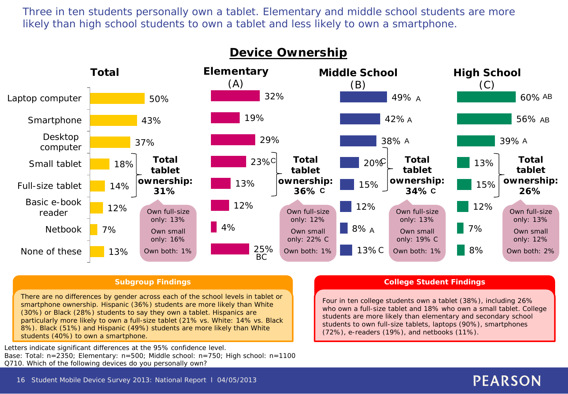Three in ten students personally own a tablet. Elementary and middle school students are more likely than high school students to own a tablet and less likely to own a smartphone.



#### **Subgroup Findings**

There are no differences by gender across each of the school levels in tablet or smartphone ownership. Hispanic (36%) students are more likely than White (30%) or Black (28%) students to say they own a tablet. Hispanics are particularly more likely to own a full-size tablet (21% vs. White: 14% vs. Black 8%). Black (51%) and Hispanic (49%) students are more likely than White students (40%) to own a smartphone.

Letters indicate significant differences at the 95% confidence level. Base: Total: n=2350; Elementary: n=500; Middle school: n=750; High school: n=1100 Q710. Which of the following devices do you personally own?

#### **College Student Findings**

Four in ten college students own a tablet (38%), including 26% who own a full-size tablet and 18% who own a small tablet. College students are more likely than elementary and secondary school students to own full-size tablets, laptops (90%), smartphones (72%), e-readers (19%), and netbooks (11%).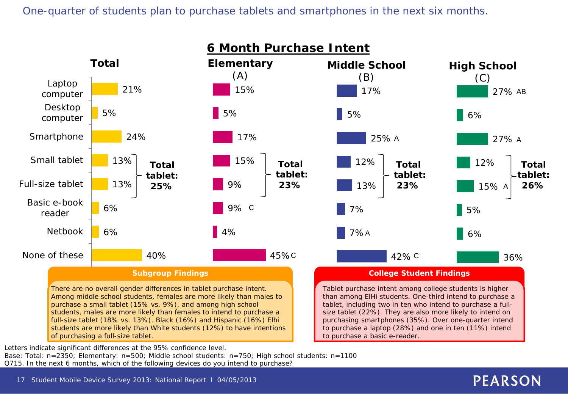One-quarter of students plan to purchase tablets and smartphones in the next six months.



Letters indicate significant differences at the 95% confidence level.

Base: Total: n=2350; Elementary: n=500; Middle school students: n=750; High school students: n=1100 Q715. In the next 6 months, which of the following devices do you intend to purchase?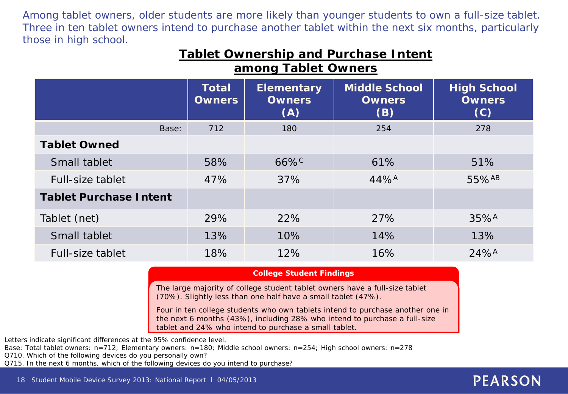Among tablet owners, older students are more likely than younger students to own a full-size tablet. Three in ten tablet owners intend to purchase another tablet within the next six months, particularly those in high school.

|                     | <b>Tablet Ownership and Purchase Intent</b> |  |
|---------------------|---------------------------------------------|--|
| among Tablet Owners |                                             |  |

|                               | <b>Total</b><br><b>Owners</b> | <b>Elementary</b><br><b>Owners</b><br>(A) | <b>Middle School</b><br><b>Owners</b><br>(B) | <b>High School</b><br><b>Owners</b><br>(C) |
|-------------------------------|-------------------------------|-------------------------------------------|----------------------------------------------|--------------------------------------------|
| Base:                         | 712                           | 180                                       | 254                                          | 278                                        |
| <b>Tablet Owned</b>           |                               |                                           |                                              |                                            |
| Small tablet                  | 58%                           | $66\%$                                    | 61%                                          | 51%                                        |
| Full-size tablet              | 47%                           | 37%                                       | $44\%$ <sup>A</sup>                          | 55%AB                                      |
| <b>Tablet Purchase Intent</b> |                               |                                           |                                              |                                            |
| Tablet (net)                  | 29%                           | 22%                                       | 27%                                          | $35%^{A}$                                  |
| Small tablet                  | 13%                           | 10%                                       | 14%                                          | 13%                                        |
| Full-size tablet              | 18%                           | 12%                                       | 16%                                          | $24%^{A}$                                  |

#### **College Student Findings**

The large majority of college student tablet owners have a full-size tablet (70%). Slightly less than one half have a small tablet (47%).

Four in ten college students who own tablets intend to purchase another one in the next 6 months (43%), including 28% who intend to purchase a full-size tablet and 24% who intend to purchase a small tablet.

Letters indicate significant differences at the 95% confidence level.

Base: Total tablet owners: n=712; Elementary owners: n=180; Middle school owners: n=254; High school owners: n=278

Q710. Which of the following devices do you personally own?

Q715. In the next 6 months, which of the following devices do you intend to purchase?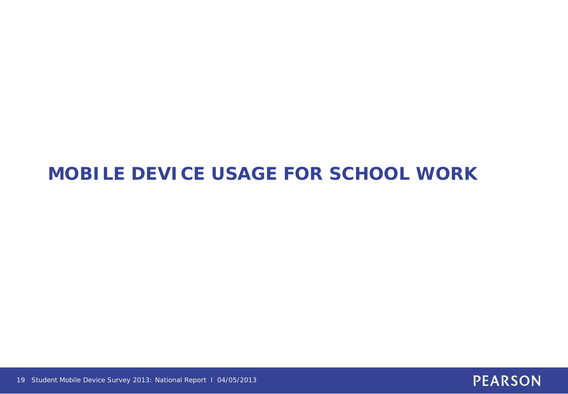# **MOBILE DEVICE USAGE FOR SCHOOL WORK**



19 Student Mobile Device Survey 2013: National Report l 04/05/2013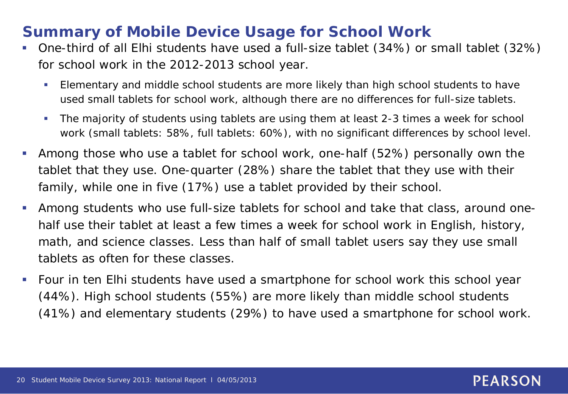# **Summary of Mobile Device Usage for School Work**

- One-third of all Elhi students have used a full-size tablet (34%) or small tablet (32%) for school work in the 2012-2013 school year.
	- Elementary and middle school students are more likely than high school students to have used small tablets for school work, although there are no differences for full-size tablets.
	- The majority of students using tablets are using them at least 2-3 times a week for school work (small tablets: 58%, full tablets: 60%), with no significant differences by school level.
- Among those who use a tablet for school work, one-half (52%) personally own the tablet that they use. One-quarter (28%) share the tablet that they use with their family, while one in five (17%) use a tablet provided by their school.
- Among students who use full-size tablets for school and take that class, around onehalf use their tablet at least a few times a week for school work in English, history, math, and science classes. Less than half of small tablet users say they use small tablets as often for these classes.
- Four in ten Elhi students have used a smartphone for school work this school year (44%). High school students (55%) are more likely than middle school students (41%) and elementary students (29%) to have used a smartphone for school work.

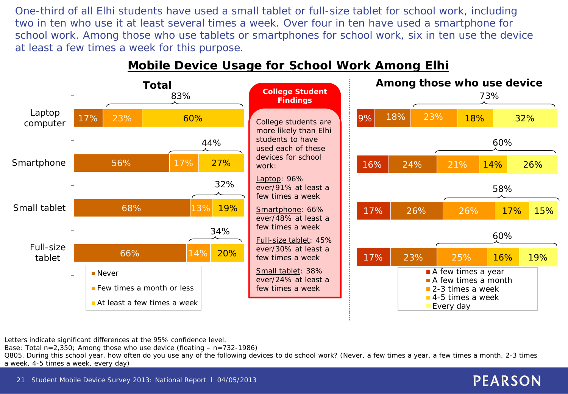One-third of all Elhi students have used a small tablet or full-size tablet for school work, including two in ten who use it at least several times a week. Over four in ten have used a smartphone for school work. Among those who use tablets or smartphones for school work, six in ten use the device at least a few times a week for this purpose.



### **Mobile Device Usage for School Work Among Elhi**

Letters indicate significant differences at the 95% confidence level.

Base: Total  $n=2,350$ ; Among those who use device (floating  $- n=732-1986$ )

Q805. During this school year, how often do you use any of the following devices to do school work? (Never, a few times a year, a few times a month, 2-3 times a week, 4-5 times a week, every day)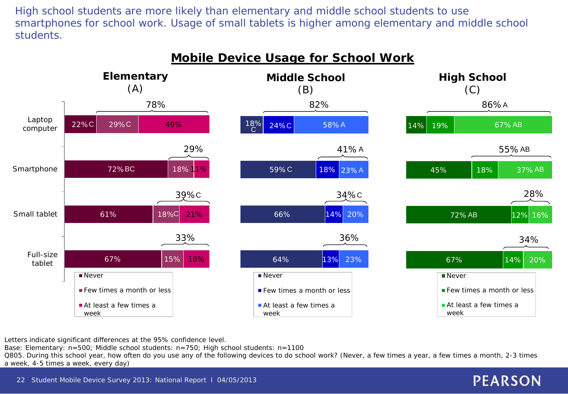High school students are more likely than elementary and middle school students to use smartphones for school work. Usage of small tablets is higher among elementary and middle school students.



Letters indicate significant differences at the 95% confidence level.

Base: Elementary: n=500; Middle school students: n=750; High school students: n=1100

Q805. During this school year, how often do you use any of the following devices to do school work? (Never, a few times a year, a few times a month, 2-3 times a week, 4-5 times a week, every day)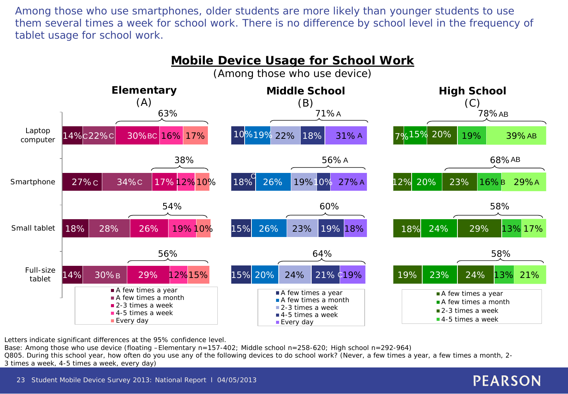Among those who use smartphones, older students are more likely than younger students to use them several times a week for school work. There is no difference by school level in the frequency of tablet usage for school work.



Letters indicate significant differences at the 95% confidence level.

Base: Among those who use device (floating –Elementary n=157-402; Middle school n=258-620; High school n=292-964) Q805. During this school year, how often do you use any of the following devices to do school work? (Never, a few times a year, a few times a month, 2- 3 times a week, 4-5 times a week, every day)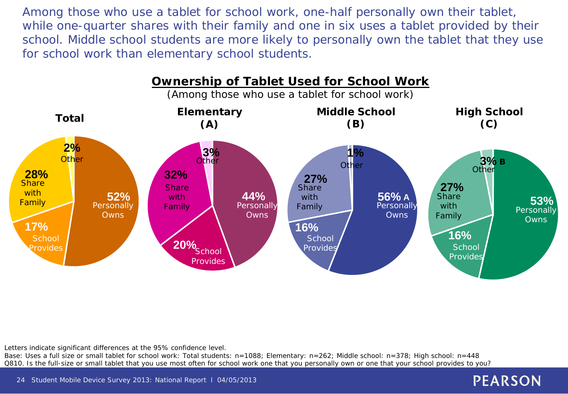Among those who use a tablet for school work, one-half personally own their tablet, while one-quarter shares with their family and one in six uses a tablet provided by their school. Middle school students are more likely to personally own the tablet that they use for school work than elementary school students.



Letters indicate significant differences at the 95% confidence level.

Base: Uses a full size or small tablet for school work: Total students: n=1088; Elementary: n=262; Middle school: n=378; High school: n=448 Q810. Is the full-size or small tablet that you use most often for school work one that you personally own or one that your school provides to you?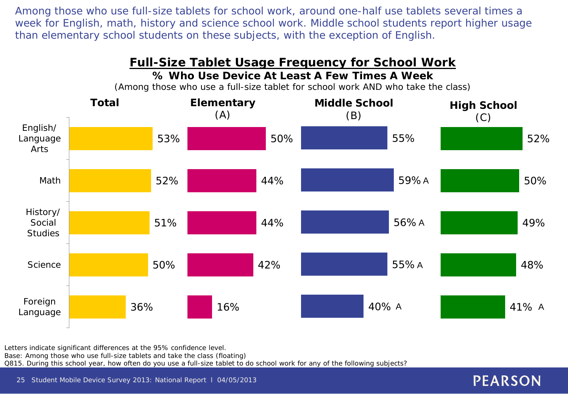Among those who use full-size tablets for school work, around one-half use tablets several times a week for English, math, history and science school work. Middle school students report higher usage than elementary school students on these subjects, with the exception of English.

#### 41% A 48% 49% 50% 52% 36% 50% 51% 52% 53% Foreign Language **Science** History/ Social **Studies** Math English/ Language Arts **Full-Size Tablet Usage Frequency for School Work % Who Use Device At Least A Few Times A Week** (Among those who use a full-size tablet for school work AND who take the class) **Middle School** (B) **High School** (C) **Total** 40% 55% A 56% A 59% A 55%  $16\%$  and  $40\%$  A  $40\%$  A  $41\%$  A 42% 44% 44% 50% **Elementary** (A)

Letters indicate significant differences at the 95% confidence level. Base: Among those who use full-size tablets and take the class (floating) Q815. During this school year, how often do you use a full-size tablet to do school work for any of the following subjects?

25 Student Mobile Device Survey 2013: National Report l 04/05/2013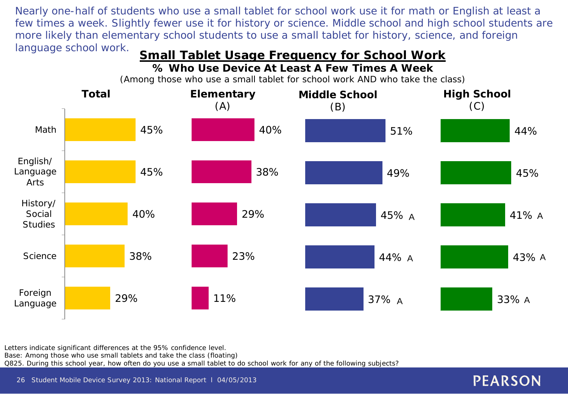Nearly one-half of students who use a small tablet for school work use it for math or English at least a few times a week. Slightly fewer use it for history or science. Middle school and high school students are more likely than elementary school students to use a small tablet for history, science, and foreign

# language school work. **Small Tablet Usage Frequency for School Work**

**% Who Use Device At Least A Few Times A Week**

33% 43% A A A 41% A 45% 44% 29% 38% 40% 45% 45% Foreign Language **Science** History/ Social **Studies** English/ Language Arts Math 37% A 44% A 45% 49% 51% **Middle School** (B) **High School** (C) **Total** 11% and  $37\%$  A  $33\%$  A 23% 29% 38% 40% **Elementary** (A)

(Among those who use a small tablet for school work AND who take the class)

Letters indicate significant differences at the 95% confidence level. Base: Among those who use small tablets and take the class (floating) Q825. During this school year, how often do you use a small tablet to do school work for any of the following subjects?

26 Student Mobile Device Survey 2013: National Report l 04/05/2013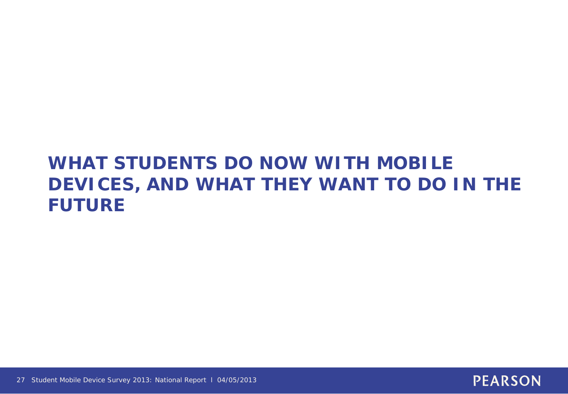# **WHAT STUDENTS DO NOW WITH MOBILE DEVICES, AND WHAT THEY WANT TO DO IN THE FUTURE**

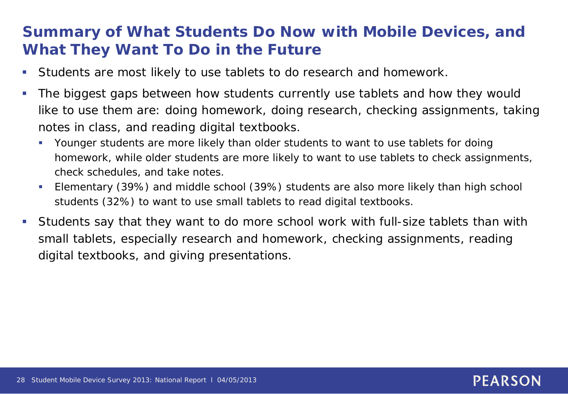# **Summary of What Students Do Now with Mobile Devices, and What They Want To Do in the Future**

- Students are most likely to use tablets to do research and homework.
- The biggest gaps between how students currently use tablets and how they would like to use them are: doing homework, doing research, checking assignments, taking notes in class, and reading digital textbooks.
	- Younger students are more likely than older students to want to use tablets for doing homework, while older students are more likely to want to use tablets to check assignments, check schedules, and take notes.
	- Elementary (39%) and middle school (39%) students are also more likely than high school students (32%) to want to use small tablets to read digital textbooks.
- Students say that they want to do more school work with full-size tablets than with small tablets, especially research and homework, checking assignments, reading digital textbooks, and giving presentations.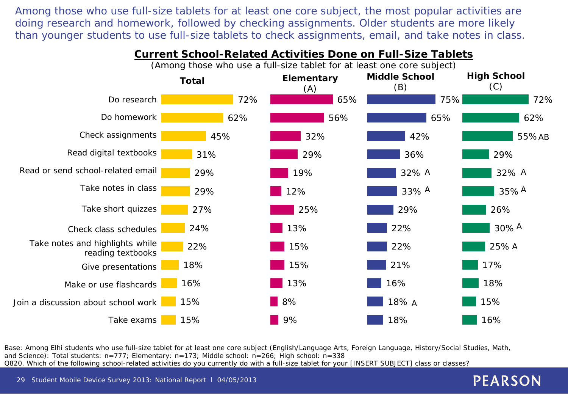Among those who use full-size tablets for at least one core subject, the most popular activities are doing research and homework, followed by checking assignments. Older students are more likely than younger students to use full-size tablets to check assignments, email, and take notes in class.



Base: Among Elhi students who use full-size tablet for at least one core subject (English/Language Arts, Foreign Language, History/Social Studies, Math, and Science): Total students: n=777; Elementary: n=173; Middle school: n=266; High school: n=338 Q820. Which of the following school-related activities do you currently do with a full-size tablet for your [INSERT SUBJECT] class or classes?

29 Student Mobile Device Survey 2013: National Report l 04/05/2013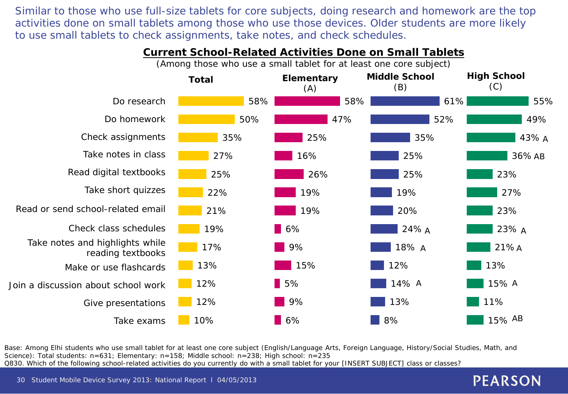Similar to those who use full-size tablets for core subjects, doing research and homework are the top activities done on small tablets among those who use those devices. Older students are more likely to use small tablets to check assignments, take notes, and check schedules.



### **Current School-Related Activities Done on Small Tablets**

Base: Among Elhi students who use small tablet for at least one core subject (English/Language Arts, Foreign Language, History/Social Studies, Math, and Science): Total students: n=631; Elementary: n=158; Middle school: n=238; High school: n=235 Q830. Which of the following school-related activities do you currently do with a small tablet for your [INSERT SUBJECT] class or classes?

30 Student Mobile Device Survey 2013: National Report l 04/05/2013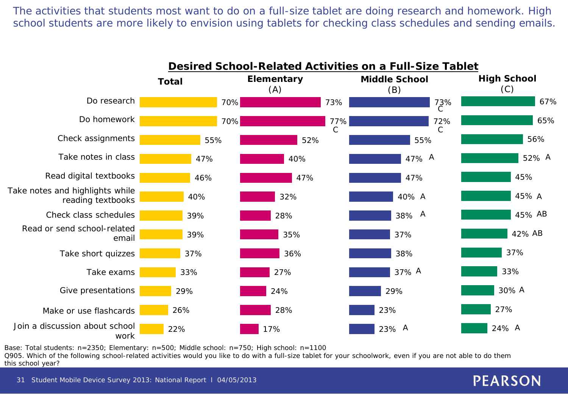The activities that students most want to do on a full-size tablet are doing research and homework. High school students are more likely to envision using tablets for checking class schedules and sending emails.



Base: Total students: n=2350; Elementary: n=500; Middle school: n=750; High school: n=1100

Q905. Which of the following school-related activities would you like to do with a full-size tablet for your schoolwork, even if you are not able to do them this school year?

31 Student Mobile Device Survey 2013: National Report l 04/05/2013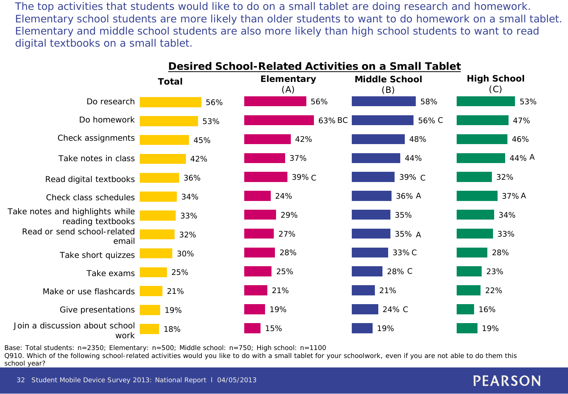The top activities that students would like to do on a small tablet are doing research and homework. Elementary school students are more likely than older students to want to do homework on a small tablet. Elementary and middle school students are also more likely than high school students to want to read digital textbooks on a small tablet.



Base: Total students: n=2350; Elementary: n=500; Middle school: n=750; High school: n=1100

Q910. Which of the following school-related activities would you like to do with a small tablet for your schoolwork, even if you are not able to do them this school year?

32 Student Mobile Device Survey 2013: National Report l 04/05/2013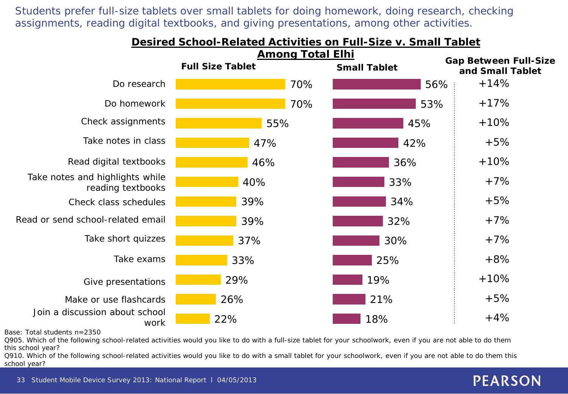Students prefer full-size tablets over small tablets for doing homework, doing research, checking assignments, reading digital textbooks, and giving presentations, among other activities.



Base: Total students n=2350

Q905. Which of the following school-related activities would you like to do with a full-size tablet for your schoolwork, even if you are not able to do them this school year?

Q910. Which of the following school-related activities would you like to do with a small tablet for your schoolwork, even if you are not able to do them this school year?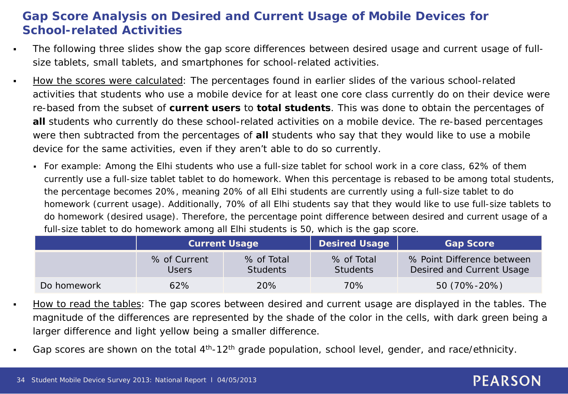### **Gap Score Analysis on Desired and Current Usage of Mobile Devices for School-related Activities**

- The following three slides show the gap score differences between desired usage and current usage of fullsize tablets, small tablets, and smartphones for school-related activities.
- How the scores were calculated: The percentages found in earlier slides of the various school-related activities that students who use a mobile device for at least one core class currently do on their device were re-based from the subset of **current users** to **total students**. This was done to obtain the percentages of **all** students who currently do these school-related activities on a mobile device. The re-based percentages were then subtracted from the percentages of **all** students who say that they would *like* to use a mobile device for the same activities, even if they aren't able to do so currently.
	- For example: Among the Elhi students who use a full-size tablet for school work in a core class, 62% of them currently use a full-size tablet tablet to do homework. When this percentage is rebased to be among total students, the percentage becomes 20%, meaning 20% of *all* Elhi students are currently using a full-size tablet to do homework (current usage). Additionally, 70% of *all* Elhi students say that they would *like* to use full-size tablets to do homework (desired usage). Therefore, the percentage point difference between desired and current usage of a full-size tablet to do homework among all Elhi students is 50, which is the gap score.

|             | <b>Current Usage</b>         |                               | <b>Desired Usage</b>          | <b>Gap Score</b>                                        |  |  |
|-------------|------------------------------|-------------------------------|-------------------------------|---------------------------------------------------------|--|--|
|             | % of Current<br><b>Users</b> | % of Total<br><b>Students</b> | % of Total<br><b>Students</b> | % Point Difference between<br>Desired and Current Usage |  |  |
| Do homework | 62%                          | 20%                           | 70%                           | 50 (70%-20%)                                            |  |  |

- How to read the tables: The gap scores between desired and current usage are displayed in the tables. The magnitude of the differences are represented by the shade of the color in the cells, with dark green being a larger difference and light yellow being a smaller difference.
- Gap scores are shown on the total 4<sup>th</sup>-12<sup>th</sup> grade population, school level, gender, and race/ethnicity.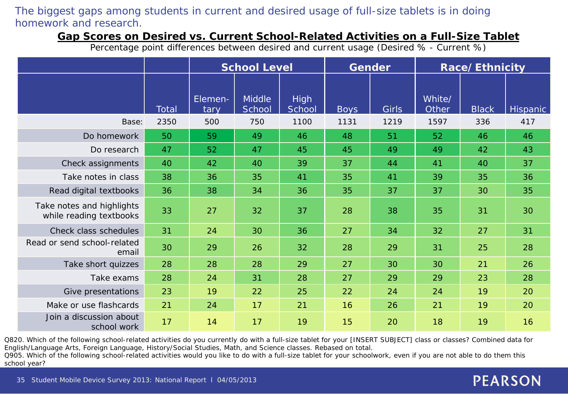### The biggest gaps among students in current and desired usage of full-size tablets is in doing homework and research.

### **Gap Scores on Desired vs. Current School-Related Activities on a Full-Size Tablet**

Percentage point differences between desired and current usage (Desired % - Current %)

|                                                      |              | <b>School Level</b> |                         |                       | <b>Gender</b> |       | Race/Ethnicity  |              |                 |
|------------------------------------------------------|--------------|---------------------|-------------------------|-----------------------|---------------|-------|-----------------|--------------|-----------------|
|                                                      | <b>Total</b> | Elemen-<br>tary     | <b>Middle</b><br>School | <b>High</b><br>School | <b>Boys</b>   | Girls | White/<br>Other | <b>Black</b> | <b>Hispanic</b> |
| Base:                                                | 2350         | 500                 | 750                     | 1100                  | 1131          | 1219  | 1597            | 336          | 417             |
| Do homework                                          | 50           | 59                  | 49                      | 46                    | 48            | 51    | 52              | 46           | 46              |
| Do research                                          | 47           | 52                  | 47                      | 45                    | 45            | 49    | 49              | 42           | 43              |
| Check assignments                                    | 40           | 42                  | 40                      | 39                    | 37            | 44    | 41              | 40           | 37              |
| Take notes in class                                  | 38           | 36                  | 35                      | 41                    | 35            | 41    | 39              | 35           | 36              |
| Read digital textbooks                               | 36           | 38                  | 34                      | 36                    | 35            | 37    | 37              | 30           | 35              |
| Take notes and highlights<br>while reading textbooks | 33           | 27                  | 32                      | 37                    | 28            | 38    | 35              | 31           | 30              |
| Check class schedules                                | 31           | 24                  | 30                      | 36                    | 27            | 34    | 32              | 27           | 31              |
| Read or send school-related<br>email                 | 30           | 29                  | 26                      | 32                    | 28            | 29    | 31              | 25           | 28              |
| Take short quizzes                                   | 28           | 28                  | 28                      | 29                    | 27            | 30    | 30              | 21           | 26              |
| Take exams                                           | 28           | 24                  | 31                      | 28                    | 27            | 29    | 29              | 23           | 28              |
| Give presentations                                   | 23           | 19                  | 22                      | 25                    | 22            | 24    | 24              | 19           | 20              |
| Make or use flashcards                               | 21           | 24                  | 17                      | 21                    | 16            | 26    | 21              | 19           | 20              |
| Join a discussion about<br>school work               | 17           | 14                  | 17                      | 19                    | 15            | 20    | 18              | 19           | 16              |

Q820. Which of the following school-related activities do you currently do with a full-size tablet for your [INSERT SUBJECT] class or classes? Combined data for English/Language Arts, Foreign Language, History/Social Studies, Math, and Science classes. Rebased on total.

Q905. Which of the following school-related activities would you like to do with a full-size tablet for your schoolwork, even if you are not able to do them this school year?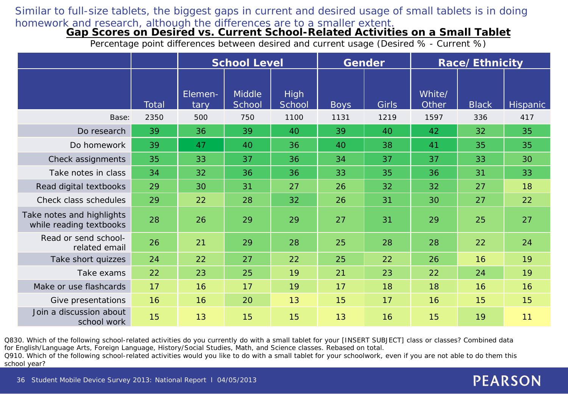### Similar to full-size tablets, the biggest gaps in current and desired usage of small tablets is in doing homework and research, although the differences are to a smaller extent.

#### **Gap Scores on Desired vs. Current School-Related Activities on a Small Tablet**

Percentage point differences between desired and current usage (Desired % - Current %)

|                                                      |       | <b>School Level</b> |                         |                       | <b>Gender</b> |       |                 | Race/Ethnicity |                 |
|------------------------------------------------------|-------|---------------------|-------------------------|-----------------------|---------------|-------|-----------------|----------------|-----------------|
|                                                      | Total | Elemen-<br>tary     | <b>Middle</b><br>School | <b>High</b><br>School | <b>Boys</b>   | Girls | White/<br>Other | <b>Black</b>   | <b>Hispanic</b> |
| Base:                                                | 2350  | 500                 | 750                     | 1100                  | 1131          | 1219  | 1597            | 336            | 417             |
| Do research                                          | 39    | 36                  | 39                      | 40                    | 39            | 40    | 42              | 32             | 35              |
| Do homework                                          | 39    | 47                  | 40                      | 36                    | 40            | 38    | 41              | 35             | 35              |
| Check assignments                                    | 35    | 33                  | 37                      | 36                    | 34            | 37    | 37              | 33             | 30              |
| Take notes in class                                  | 34    | 32                  | 36                      | 36                    | 33            | 35    | 36              | 31             | 33              |
| Read digital textbooks                               | 29    | 30                  | 31                      | 27                    | 26            | 32    | 32              | 27             | 18              |
| Check class schedules                                | 29    | 22                  | 28                      | 32                    | 26            | 31    | 30              | 27             | 22              |
| Take notes and highlights<br>while reading textbooks | 28    | 26                  | 29                      | 29                    | 27            | 31    | 29              | 25             | 27              |
| Read or send school-<br>related email                | 26    | 21                  | 29                      | 28                    | 25            | 28    | 28              | 22             | 24              |
| Take short quizzes                                   | 24    | 22                  | 27                      | 22                    | 25            | 22    | 26              | 16             | 19              |
| Take exams                                           | 22    | 23                  | 25                      | 19                    | 21            | 23    | 22              | 24             | 19              |
| Make or use flashcards                               | 17    | 16                  | 17                      | 19                    | 17            | 18    | 18              | 16             | 16              |
| Give presentations                                   | 16    | 16                  | 20                      | 13                    | 15            | 17    | 16              | 15             | 15              |
| Join a discussion about<br>school work               | 15    | 13                  | 15                      | 15                    | 13            | 16    | 15              | 19             | 11              |

Q830. Which of the following school-related activities do you currently do with a small tablet for your [INSERT SUBJECT] class or classes? Combined data for English/Language Arts, Foreign Language, History/Social Studies, Math, and Science classes. Rebased on total.

Q910. Which of the following school-related activities would you like to do with a small tablet for your schoolwork, even if you are not able to do them this school year?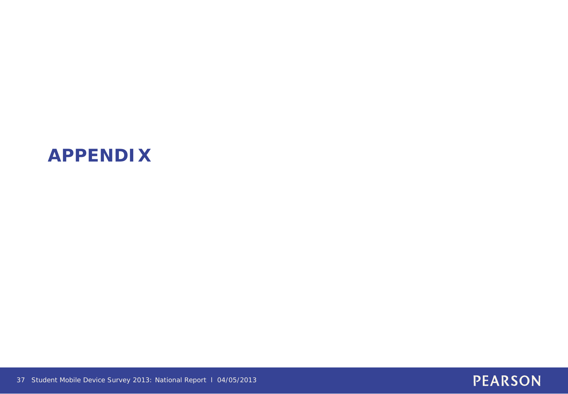# **APPENDIX**



37 Student Mobile Device Survey 2013: National Report l 04/05/2013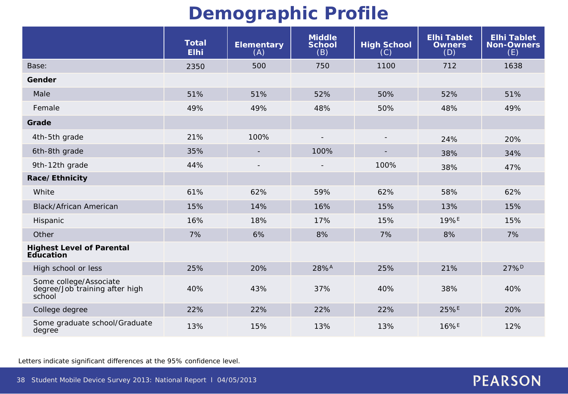# **Demographic Profile**

|                                                                    | <b>Total</b><br><b>Elhi</b> | <b>Elementary</b><br>(A) | <b>Middle</b><br><b>School</b><br>(B) | <b>High School</b><br>(C) | <b>Elhi Tablet</b><br><b>Owners</b><br>(D) | <b>Elhi Tablet</b><br><b>Non-Owners</b><br>(E) |
|--------------------------------------------------------------------|-----------------------------|--------------------------|---------------------------------------|---------------------------|--------------------------------------------|------------------------------------------------|
| Base:                                                              | 2350                        | 500                      | 750                                   | 1100                      | 712                                        | 1638                                           |
| Gender                                                             |                             |                          |                                       |                           |                                            |                                                |
| Male                                                               | 51%                         | 51%                      | 52%                                   | 50%                       | 52%                                        | 51%                                            |
| Female                                                             | 49%                         | 49%                      | 48%                                   | 50%                       | 48%                                        | 49%                                            |
| Grade                                                              |                             |                          |                                       |                           |                                            |                                                |
| 4th-5th grade                                                      | 21%                         | 100%                     | $\overline{a}$                        | $\overline{\phantom{a}}$  | 24%                                        | 20%                                            |
| 6th-8th grade                                                      | 35%                         |                          | 100%                                  |                           | 38%                                        | 34%                                            |
| 9th-12th grade                                                     | 44%                         |                          |                                       | 100%                      | 38%                                        | 47%                                            |
| Race/Ethnicity                                                     |                             |                          |                                       |                           |                                            |                                                |
| White                                                              | 61%                         | 62%                      | 59%                                   | 62%                       | 58%                                        | 62%                                            |
| <b>Black/African American</b>                                      | 15%                         | 14%                      | 16%                                   | 15%                       | 13%                                        | 15%                                            |
| Hispanic                                                           | 16%                         | 18%                      | 17%                                   | 15%                       | 19%E                                       | 15%                                            |
| Other                                                              | 7%                          | 6%                       | 8%                                    | 7%                        | 8%                                         | 7%                                             |
| <b>Highest Level of Parental</b><br>Education                      |                             |                          |                                       |                           |                                            |                                                |
| High school or less                                                | 25%                         | 20%                      | 28%A                                  | 25%                       | 21%                                        | 27% <sup>D</sup>                               |
| Some college/Associate<br>degree/Job training after high<br>school | 40%                         | 43%                      | 37%                                   | 40%                       | 38%                                        | 40%                                            |
| College degree                                                     | 22%                         | 22%                      | 22%                                   | 22%                       | 25%E                                       | 20%                                            |
| Some graduate school/Graduate<br>degree                            | 13%                         | 15%                      | 13%                                   | 13%                       | 16%E                                       | 12%                                            |

Letters indicate significant differences at the 95% confidence level.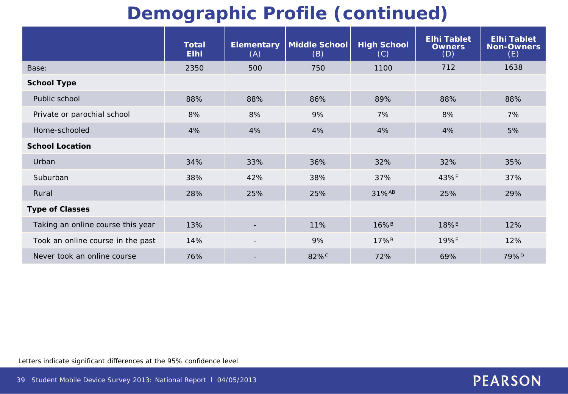# **Demographic Profile (continued)**

|                                   | <b>Total</b><br><b>Elhi</b> | <b>Elementary</b><br>(A) | <b>Middle School</b><br>(B) | <b>High School</b><br>(C) | <b>Elhi Tablet</b><br><b>Owners</b><br>(D) | <b>Elhi Tablet</b><br><b>Non-Owners</b><br>(E) |
|-----------------------------------|-----------------------------|--------------------------|-----------------------------|---------------------------|--------------------------------------------|------------------------------------------------|
| Base:                             | 2350                        | 500                      | 750                         | 1100                      | 712                                        | 1638                                           |
| <b>School Type</b>                |                             |                          |                             |                           |                                            |                                                |
| Public school                     | 88%                         | 88%                      | 86%                         | 89%                       | 88%                                        | 88%                                            |
| Private or parochial school       | 8%                          | 8%                       | 9%                          | 7%                        | 8%                                         | 7%                                             |
| Home-schooled                     | 4%                          | 4%                       | 4%                          | 4%                        | 4%                                         | 5%                                             |
| <b>School Location</b>            |                             |                          |                             |                           |                                            |                                                |
| Urban                             | 34%                         | 33%                      | 36%                         | 32%                       | 32%                                        | 35%                                            |
| Suburban                          | 38%                         | 42%                      | 38%                         | 37%                       | $43\%$ <sup>E</sup>                        | 37%                                            |
| Rural                             | 28%                         | 25%                      | 25%                         | 31%AB                     | 25%                                        | 29%                                            |
| <b>Type of Classes</b>            |                             |                          |                             |                           |                                            |                                                |
| Taking an online course this year | 13%                         | $\overline{\phantom{0}}$ | 11%                         | $16\%$ <sup>B</sup>       | $18\%$ <sup>E</sup>                        | 12%                                            |
| Took an online course in the past | 14%                         | $\overline{\phantom{a}}$ | 9%                          | 17% <sup>B</sup>          | 19%E                                       | 12%                                            |
| Never took an online course       | 76%                         | $\overline{\phantom{0}}$ | 82% <sup>c</sup>            | 72%                       | 69%                                        | 79% <sup>D</sup>                               |

Letters indicate significant differences at the 95% confidence level.